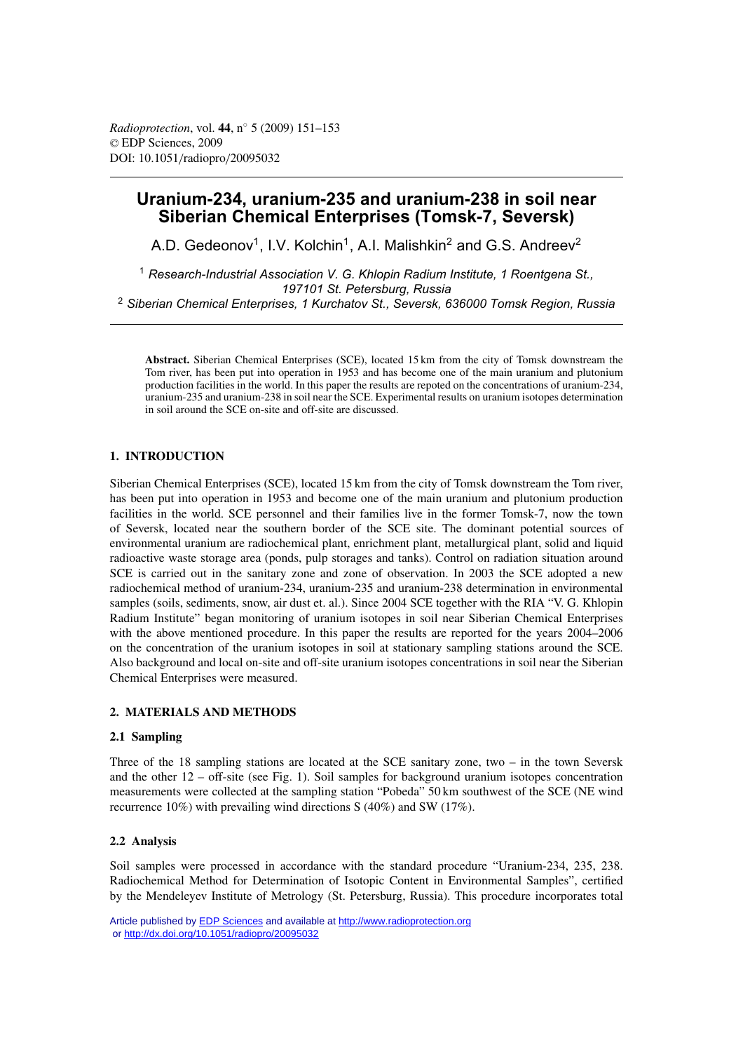# **Uranium-234, uranium-235 and uranium-238 in soil near Siberian Chemical Enterprises (Tomsk-7, Seversk)**

A.D. Gedeonov<sup>1</sup>, I.V. Kolchin<sup>1</sup>, A.I. Malishkin<sup>2</sup> and G.S. Andreev<sup>2</sup>

<sup>1</sup> *Research-Industrial Association V. G. Khlopin Radium Institute, 1 Roentgena St., 197101 St. Petersburg, Russia* <sup>2</sup> *Siberian Chemical Enterprises, 1 Kurchatov St., Seversk, 636000 Tomsk Region, Russia*

**Abstract.** Siberian Chemical Enterprises (SCE), located 15 km from the city of Tomsk downstream the Tom river, has been put into operation in 1953 and has become one of the main uranium and plutonium production facilities in the world. In this paper the results are repoted on the concentrations of uranium-234, uranium-235 and uranium-238 in soil near the SCE. Experimental results on uranium isotopes determination in soil around the SCE on-site and off-site are discussed.

# **1. INTRODUCTION**

Siberian Chemical Enterprises (SCE), located 15 km from the city of Tomsk downstream the Tom river, has been put into operation in 1953 and become one of the main uranium and plutonium production facilities in the world. SCE personnel and their families live in the former Tomsk-7, now the town of Seversk, located near the southern border of the SCE site. The dominant potential sources of environmental uranium are radiochemical plant, enrichment plant, metallurgical plant, solid and liquid radioactive waste storage area (ponds, pulp storages and tanks). Control on radiation situation around SCE is carried out in the sanitary zone and zone of observation. In 2003 the SCE adopted a new radiochemical method of uranium-234, uranium-235 and uranium-238 determination in environmental samples (soils, sediments, snow, air dust et. al.). Since 2004 SCE together with the RIA "V. G. Khlopin Radium Institute" began monitoring of uranium isotopes in soil near Siberian Chemical Enterprises with the above mentioned procedure. In this paper the results are reported for the years 2004–2006 on the concentration of the uranium isotopes in soil at stationary sampling stations around the SCE. Also background and local on-site and off-site uranium isotopes concentrations in soil near the Siberian Chemical Enterprises were measured.

#### **2. MATERIALS AND METHODS**

# **2.1 Sampling**

Three of the 18 sampling stations are located at the SCE sanitary zone, two – in the town Seversk and the other 12 – off-site (see Fig. 1). Soil samples for background uranium isotopes concentration measurements were collected at the sampling station "Pobeda" 50 km southwest of the SCE (NE wind recurrence 10%) with prevailing wind directions S (40%) and SW (17%).

# **2.2 Analysis**

Soil samples were processed in accordance with the standard procedure "Uranium-234, 235, 238. Radiochemical Method for Determination of Isotopic Content in Environmental Samples", certified by the Mendeleyev Institute of Metrology (St. Petersburg, Russia). This procedure incorporates total

Article published by [EDP Sciences](http://www.edpsciences.org) and available at<http://www.radioprotection.org> or <http://dx.doi.org/10.1051/radiopro/20095032>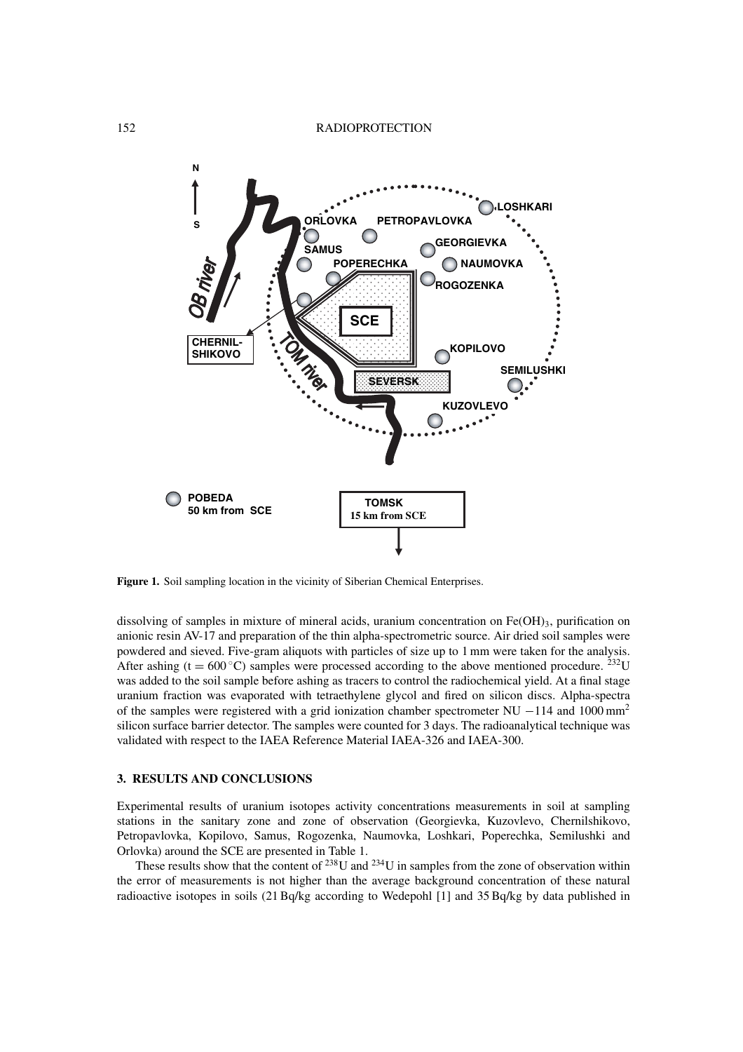

**Figure 1.** Soil sampling location in the vicinity of Siberian Chemical Enterprises.

dissolving of samples in mixture of mineral acids, uranium concentration on  $Fe(OH)_3$ , purification on anionic resin AV-17 and preparation of the thin alpha-spectrometric source. Air dried soil samples were powdered and sieved. Five-gram aliquots with particles of size up to 1 mm were taken for the analysis. After ashing (t =  $600^{\circ}$ C) samples were processed according to the above mentioned procedure. <sup>232</sup>U was added to the soil sample before ashing as tracers to control the radiochemical yield. At a final stage uranium fraction was evaporated with tetraethylene glycol and fired on silicon discs. Alpha-spectra of the samples were registered with a grid ionization chamber spectrometer NU  $-114$  and 1000 mm<sup>2</sup> silicon surface barrier detector. The samples were counted for 3 days. The radioanalytical technique was validated with respect to the IAEA Reference Material IAEA-326 and IAEA-300.

### **3. RESULTS AND CONCLUSIONS**

Experimental results of uranium isotopes activity concentrations measurements in soil at sampling stations in the sanitary zone and zone of observation (Georgievka, Kuzovlevo, Chernilshikovo, Petropavlovka, Kopilovo, Samus, Rogozenka, Naumovka, Loshkari, Poperechka, Semilushki and Orlovka) around the SCE are presented in Table 1.

These results show that the content of  $^{238}$ U and  $^{234}$ U in samples from the zone of observation within the error of measurements is not higher than the average background concentration of these natural radioactive isotopes in soils (21 Bq/kg according to Wedepohl [1] and 35 Bq/kg by data published in